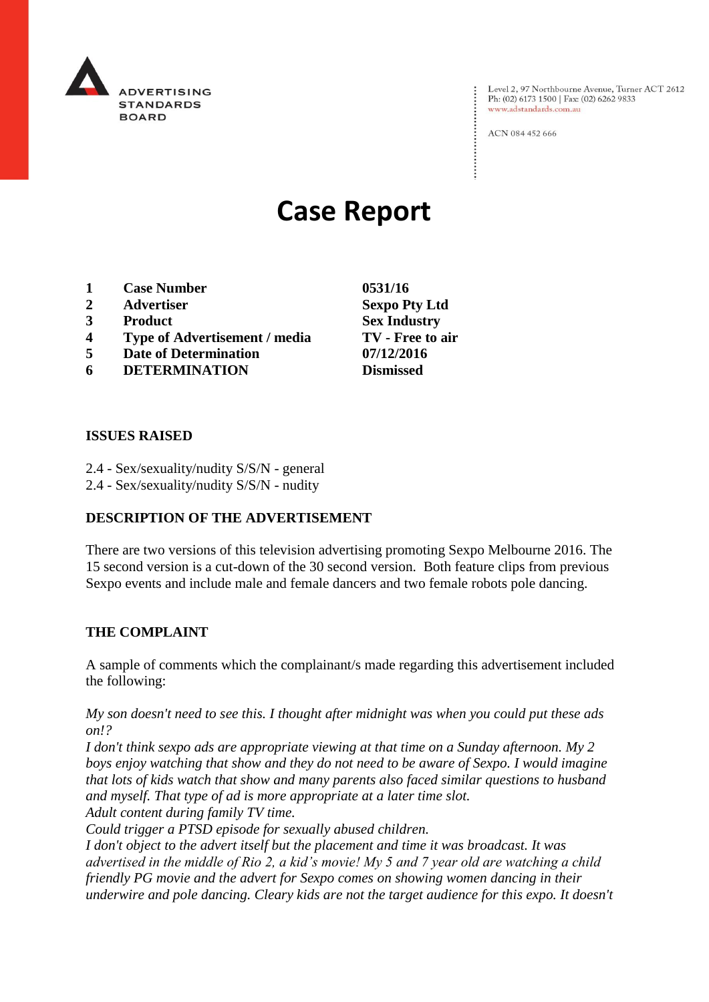

Level 2, 97 Northbourne Avenue, Turner ACT 2612 Ph: (02) 6173 1500 | Fax: (02) 6262 9833 www.adstandards.com.au

ACN 084 452 666

# **Case Report**

- **1 Case Number 0531/16**
- **2 Advertiser Sexpo Pty Ltd**
- **3 Product Sex Industry**
- **4 Type of Advertisement / media TV - Free to air**
- **5 Date of Determination 07/12/2016**
- **6 DETERMINATION Dismissed**

**ISSUES RAISED**

- 2.4 Sex/sexuality/nudity S/S/N general
- 2.4 Sex/sexuality/nudity S/S/N nudity

## **DESCRIPTION OF THE ADVERTISEMENT**

There are two versions of this television advertising promoting Sexpo Melbourne 2016. The 15 second version is a cut-down of the 30 second version. Both feature clips from previous Sexpo events and include male and female dancers and two female robots pole dancing.

#### **THE COMPLAINT**

A sample of comments which the complainant/s made regarding this advertisement included the following:

*My son doesn't need to see this. I thought after midnight was when you could put these ads on!?*

*I don't think sexpo ads are appropriate viewing at that time on a Sunday afternoon. My 2 boys enjoy watching that show and they do not need to be aware of Sexpo. I would imagine that lots of kids watch that show and many parents also faced similar questions to husband and myself. That type of ad is more appropriate at a later time slot. Adult content during family TV time.*

*Could trigger a PTSD episode for sexually abused children.*

*I don't object to the advert itself but the placement and time it was broadcast. It was advertised in the middle of Rio 2, a kid's movie! My 5 and 7 year old are watching a child friendly PG movie and the advert for Sexpo comes on showing women dancing in their underwire and pole dancing. Cleary kids are not the target audience for this expo. It doesn't*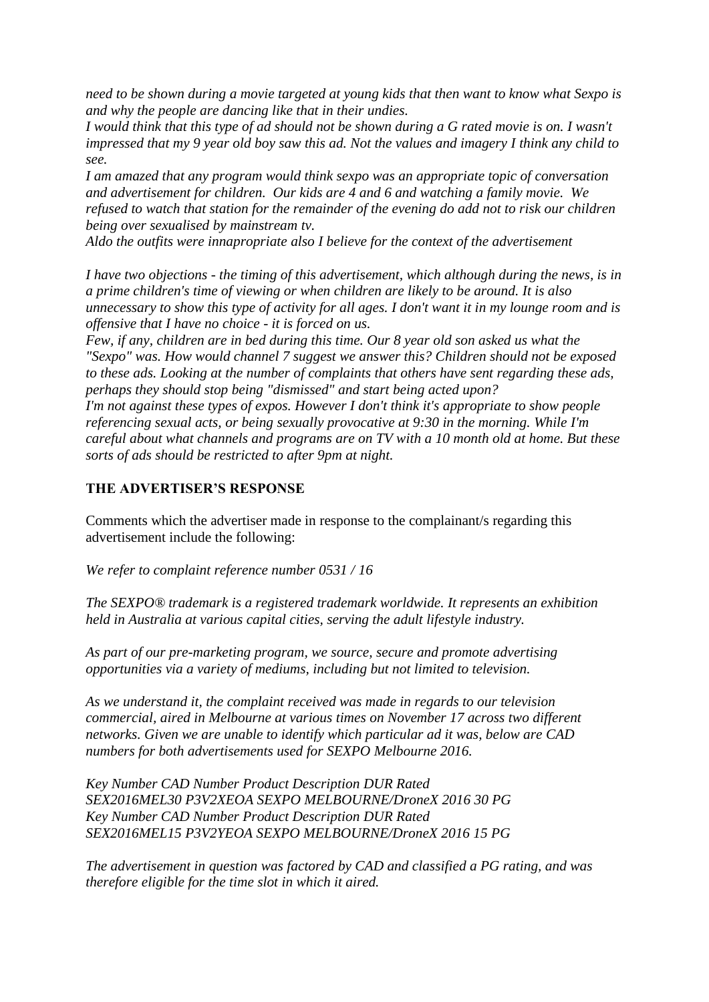*need to be shown during a movie targeted at young kids that then want to know what Sexpo is and why the people are dancing like that in their undies.*

*I would think that this type of ad should not be shown during a G rated movie is on. I wasn't impressed that my 9 year old boy saw this ad. Not the values and imagery I think any child to see.*

*I am amazed that any program would think sexpo was an appropriate topic of conversation and advertisement for children. Our kids are 4 and 6 and watching a family movie. We refused to watch that station for the remainder of the evening do add not to risk our children being over sexualised by mainstream tv.*

*Aldo the outfits were innapropriate also I believe for the context of the advertisement*

*I have two objections - the timing of this advertisement, which although during the news, is in a prime children's time of viewing or when children are likely to be around. It is also unnecessary to show this type of activity for all ages. I don't want it in my lounge room and is offensive that I have no choice - it is forced on us.*

*Few, if any, children are in bed during this time. Our 8 year old son asked us what the "Sexpo" was. How would channel 7 suggest we answer this? Children should not be exposed to these ads. Looking at the number of complaints that others have sent regarding these ads, perhaps they should stop being "dismissed" and start being acted upon? I'm not against these types of expos. However I don't think it's appropriate to show people referencing sexual acts, or being sexually provocative at 9:30 in the morning. While I'm careful about what channels and programs are on TV with a 10 month old at home. But these sorts of ads should be restricted to after 9pm at night.*

### **THE ADVERTISER'S RESPONSE**

Comments which the advertiser made in response to the complainant/s regarding this advertisement include the following:

*We refer to complaint reference number 0531 / 16*

*The SEXPO® trademark is a registered trademark worldwide. It represents an exhibition held in Australia at various capital cities, serving the adult lifestyle industry.*

*As part of our pre-marketing program, we source, secure and promote advertising opportunities via a variety of mediums, including but not limited to television.*

*As we understand it, the complaint received was made in regards to our television commercial, aired in Melbourne at various times on November 17 across two different networks. Given we are unable to identify which particular ad it was, below are CAD numbers for both advertisements used for SEXPO Melbourne 2016.*

*Key Number CAD Number Product Description DUR Rated SEX2016MEL30 P3V2XEOA SEXPO MELBOURNE/DroneX 2016 30 PG Key Number CAD Number Product Description DUR Rated SEX2016MEL15 P3V2YEOA SEXPO MELBOURNE/DroneX 2016 15 PG*

*The advertisement in question was factored by CAD and classified a PG rating, and was therefore eligible for the time slot in which it aired.*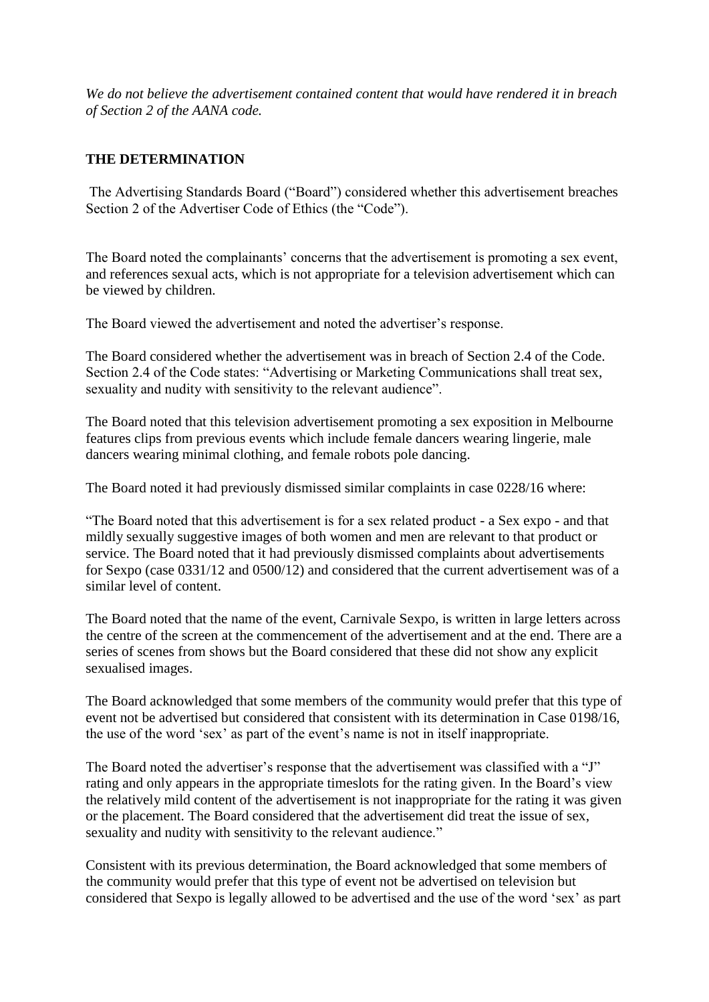*We do not believe the advertisement contained content that would have rendered it in breach of Section 2 of the AANA code.*

# **THE DETERMINATION**

The Advertising Standards Board ("Board") considered whether this advertisement breaches Section 2 of the Advertiser Code of Ethics (the "Code").

The Board noted the complainants' concerns that the advertisement is promoting a sex event, and references sexual acts, which is not appropriate for a television advertisement which can be viewed by children.

The Board viewed the advertisement and noted the advertiser's response.

The Board considered whether the advertisement was in breach of Section 2.4 of the Code. Section 2.4 of the Code states: "Advertising or Marketing Communications shall treat sex, sexuality and nudity with sensitivity to the relevant audience".

The Board noted that this television advertisement promoting a sex exposition in Melbourne features clips from previous events which include female dancers wearing lingerie, male dancers wearing minimal clothing, and female robots pole dancing.

The Board noted it had previously dismissed similar complaints in case 0228/16 where:

"The Board noted that this advertisement is for a sex related product - a Sex expo - and that mildly sexually suggestive images of both women and men are relevant to that product or service. The Board noted that it had previously dismissed complaints about advertisements for Sexpo (case 0331/12 and 0500/12) and considered that the current advertisement was of a similar level of content.

The Board noted that the name of the event, Carnivale Sexpo, is written in large letters across the centre of the screen at the commencement of the advertisement and at the end. There are a series of scenes from shows but the Board considered that these did not show any explicit sexualised images.

The Board acknowledged that some members of the community would prefer that this type of event not be advertised but considered that consistent with its determination in Case 0198/16, the use of the word 'sex' as part of the event's name is not in itself inappropriate.

The Board noted the advertiser's response that the advertisement was classified with a "J" rating and only appears in the appropriate timeslots for the rating given. In the Board's view the relatively mild content of the advertisement is not inappropriate for the rating it was given or the placement. The Board considered that the advertisement did treat the issue of sex, sexuality and nudity with sensitivity to the relevant audience."

Consistent with its previous determination, the Board acknowledged that some members of the community would prefer that this type of event not be advertised on television but considered that Sexpo is legally allowed to be advertised and the use of the word 'sex' as part